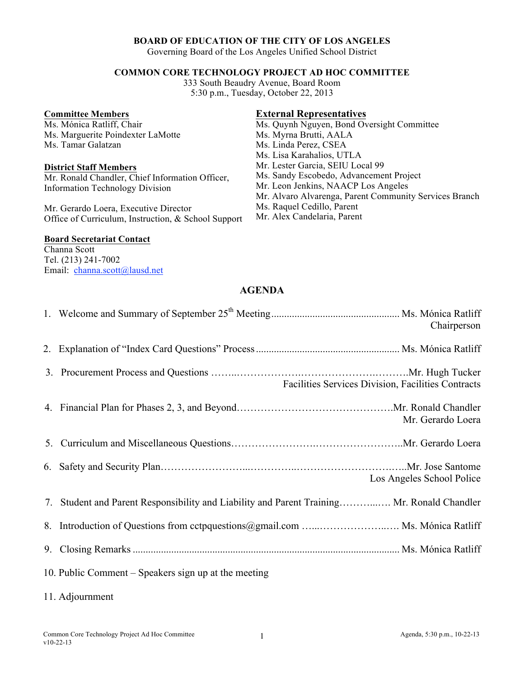## **BOARD OF EDUCATION OF THE CITY OF LOS ANGELES**

Governing Board of the Los Angeles Unified School District

## **COMMON CORE TECHNOLOGY PROJECT AD HOC COMMITTEE**

333 South Beaudry Avenue, Board Room 5:30 p.m., Tuesday, October 22, 2013

#### **Committee Members**

Ms. Mónica Ratliff, Chair Ms. Marguerite Poindexter LaMotte Ms. Tamar Galatzan

#### **District Staff Members**

Mr. Ronald Chandler, Chief Information Officer, Information Technology Division

Mr. Gerardo Loera, Executive Director Office of Curriculum, Instruction, & School Support

# **External Representatives**

Ms. Quynh Nguyen, Bond Oversight Committee Ms. Myrna Brutti, AALA Ms. Linda Perez, CSEA Ms. Lisa Karahalios, UTLA Mr. Lester Garcia, SEIU Local 99 Ms. Sandy Escobedo, Advancement Project Mr. Leon Jenkins, NAACP Los Angeles Mr. Alvaro Alvarenga, Parent Community Services Branch Ms. Raquel Cedillo, Parent Mr. Alex Candelaria, Parent

**Board Secretariat Contact**

Channa Scott Tel. (213) 241-7002 Email: channa.scott@lausd.net

## **AGENDA**

|                                                      |                                                                                            | Chairperson                                        |
|------------------------------------------------------|--------------------------------------------------------------------------------------------|----------------------------------------------------|
|                                                      |                                                                                            |                                                    |
|                                                      |                                                                                            | Facilities Services Division, Facilities Contracts |
|                                                      |                                                                                            | Mr. Gerardo Loera                                  |
|                                                      |                                                                                            |                                                    |
|                                                      |                                                                                            | Los Angeles School Police                          |
|                                                      | 7. Student and Parent Responsibility and Liability and Parent Training Mr. Ronald Chandler |                                                    |
|                                                      | 8. Introduction of Questions from cetpquestions@gmail.com  Ms. Mónica Ratliff              |                                                    |
|                                                      |                                                                                            |                                                    |
| 10. Public Comment – Speakers sign up at the meeting |                                                                                            |                                                    |

11. Adjournment